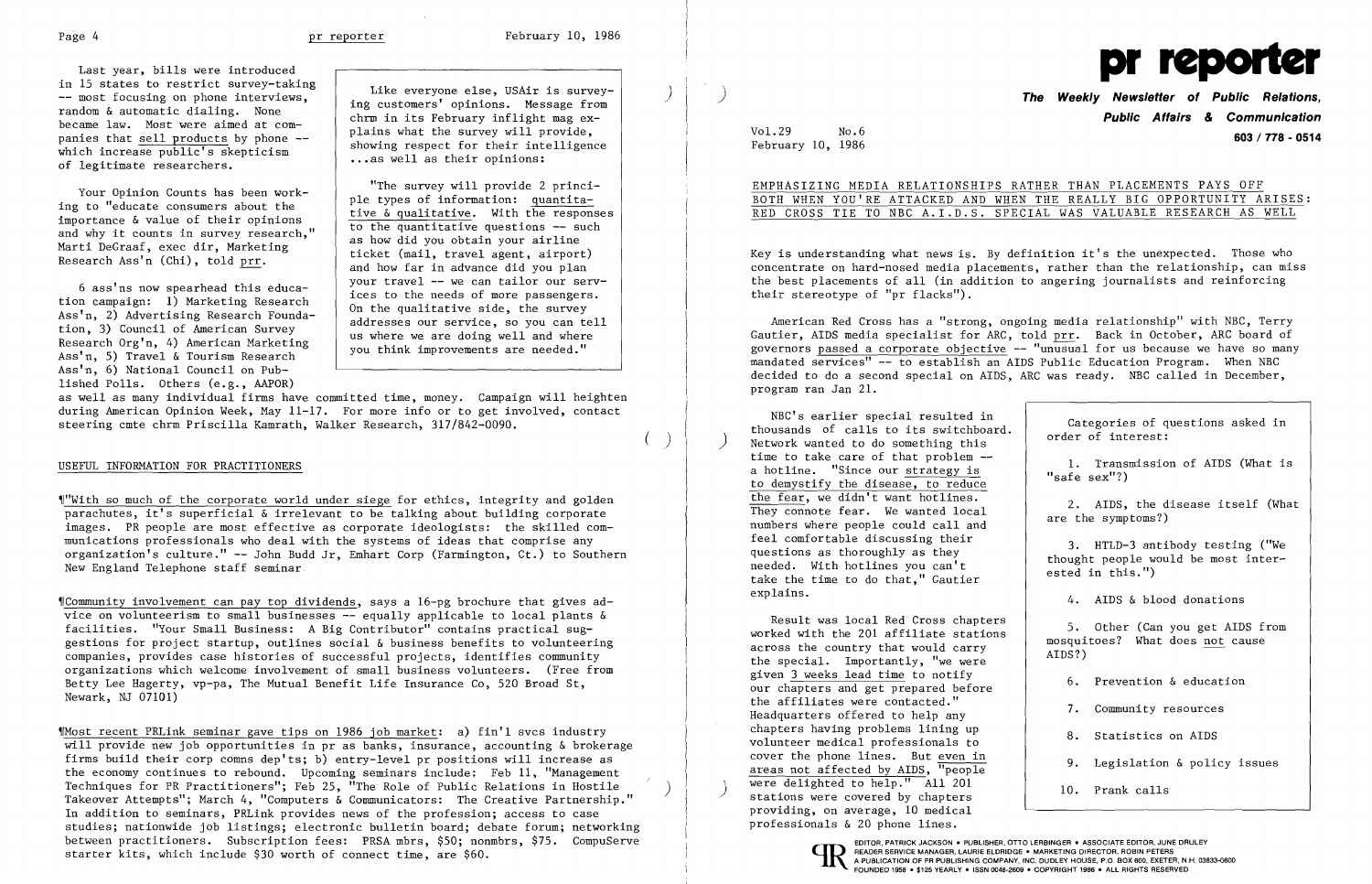Last year, bills were introduced in 15 states to restrict survey-taking<br>-- most focusing on phone interviews. in 15 states to restrict survey-taking<br>
-- most focusing on phone interviews,<br>
random & automatic dialing. None<br>
became law. Most were aimed at com-<br>
panies that <u>sell products</u> by phone --<br>
which increase public's skeptic

)

 $($ 

 ${$ [Community involvement can pay top dividends, says a  $16$ -pg brochure that gives advice on volunteerism to small businesses -- equally applicable to local plants & facilities. "Your Small Business: A Big Contributor" contains practical suggestions for project startup, outlines social & business benefits to volunteering companies, provides case histories of successful projects, identifies community organizations which welcome involvement of small business volunteers. (Free from Betty Lee Hagerty, vp-pa, The Mutual Benefit Life Insurance Co, 520 Broad St, Newark, NJ 07101)

 $M<sub>2</sub>$  Most recent PRLink seminar gave tips on 1986 job market: a) fin'l svcs industry will provide new job opportunities in pr as banks, insurance, accounting & brokerage firms build their corp comns dep'ts; b) entry-level pr positions will increase as the economy continues to rebound. Upcoming seminars include: Feb 11, "Management<br>Techniques for PR Practitioners"; Feb 25, "The Role of Public Relations in Hostile Takeover Attempts"; March 4, "Computers & Communicators: The Creative Partnership." In addition to seminars, PRLink provides news of the profession; access to case studies; nationwide job listings; electronic bulletin board; debate forum; networking between practitioners. Subscription fees: PRSA mbrs, \$50; nonmbrs, \$75. CompuServe COMPUSER COMPUSER PUBLISHER, OTTO LERBINGER • ASSOCIATE EDITOR, PATRICK JACKSON. PUBLISHER, OTTO LERBINGER • ASSOCIATE EDITOR, IUNE DRULEY<br>

Ass'n, 6) National Council on Published Polls. Others (e.g., AAPOR)

Your Opinion Counts has been work-<br>
ing to "educate consumers about the<br>
importance & value of their opinions<br>
and why it counts in survey research,"<br>
Marti DeGraaf, exec dir, Marketing<br>
Research Ass'n (Chi), told <u>prr</u>.<br> 6 ass'ns now spearhead this educa-<br>tion campaign: 1) Marketing Research<br>Ass'n, 2) Advertising Research Founda-<br>tion, 3) Council of American Survey<br>Research Org'n, 4) American Marketing<br>Ass'n, 5) Travel & Tourism Research<br>A

as well as many individual firms have committed time, money. Campaign will heighten during American Opinion Week, May 11-17. For more info or to get involved, contact steering cmte chrm Priscilla Kamrath, Walker Research, 317/842-0090.

## USEFUL INFORMATION FOR PRACTITIONERS

**The Weekly Newsletter of Public Relations, Public Affairs & Communication**  Vol.29 No.6 **603/778 - <sup>0514</sup>** February 10, 1986

,,"Wi th so much of the corporate world under siege for ethics, integrity and golden parachutes, it's superficial & irrelevant to be talking about building corporate images. PR people are most effective as corporate ideologists: the skilled communications professionals who deal with the systems of ideas that comprise any organization's culture." -- John Budd Jr, Emhart Corp (Farmington, Ct.) to Southern New England Telephone staff seminar

NBC's earlier special resulted in<br>thousands of calls to its switchboard. Categories of questions asked in<br>Network wanted to do something this<br> $\begin{array}{|l|l|}\n\end{array}$  order of interest: time to take care of that problem  $-$ <br>a hotline. "Since our strategy is  $\begin{array}{ccc} 1. & \text{Transmission of AIDS (What is } \\ \text{asfe sex"?)} \end{array}$ a hotline. "Since our strategy is<br>to demystify the disease, to reduce the fear, we didn't want hotlines.<br>They connote fear. We wanted local are the symptoms?) numbers where people could call and<br>feel comfortable discussing their feel comfortable discussing their<br>questions as thoroughly as they<br>needed. With hotlines you can't thought people would be most inter-<br>take the time to do that," Gautier ested in this.") explains.

Result was local Red Cross chapters<br>worked with the 201 affiliate stations<br>across the country that would carry<br>example integral across the country that would carry across the country that would carry  $\text{AIDS?}$ )<br>the special. Importantly, "we were given 3 weeks lead time to notify  $\begin{array}{ccc} 6 & \text{Prevention} & \text{deduction} \\ 6 & \text{Prevention} & \text{deduction} \end{array}$ our chapters and get prepared before<br>the affiliates were contacted." the affiliates were contacted.<br>Headquarters offered to help any 1. Community resources chapters having problems lining up  $\begin{array}{|l|l|} \hline \end{array}$  8. Statistics on AIDS volunteer medical professionals to cover the phone lines. But even in  $\begin{array}{ccc} 9. & \text{Legislation} & \text{points} \end{array}$ areas not affected by AIDS, "people were delighted to help." All 201 10. Prank calls stations were covered by chapters providing, on average, 10 medical professionals & 20 phone lines.



EMPHASIZING MEDIA RELATIONSHIPS RATHER THAN PLACEMENTS PAYS OFF BOTH WHEN YOU'RE ATTACKED AND WHEN THE REALLY BIG OPPORTUNITY ARISES: RED CROSS TIE TO NBC A.I.D.S. SPECIAL WAS VALUABLE RESEARCH AS WELL

Key is understanding what news is. By definition it's the unexpected. Those who concentrate on hard-nosed media placements, rather than the relationship, can miss the best placements of all (in addition to angering journalists and reinforcing their stereotype of "pr flacks").

American Red Cross has a "strong, ongoing media relationship" with NBC, Terry Gautier, AIDS media specialist for ARC, told prr. Back in October, ARC board of governors passed a corporate objective -- "unusual for us because we have so many mandated services" -- to establish an AIDS Public Education Program. When NBC decided to do a second special on AIDS, ARC was ready. NBC called in December, program ran Jan 21.

4. AIDS & blood donations